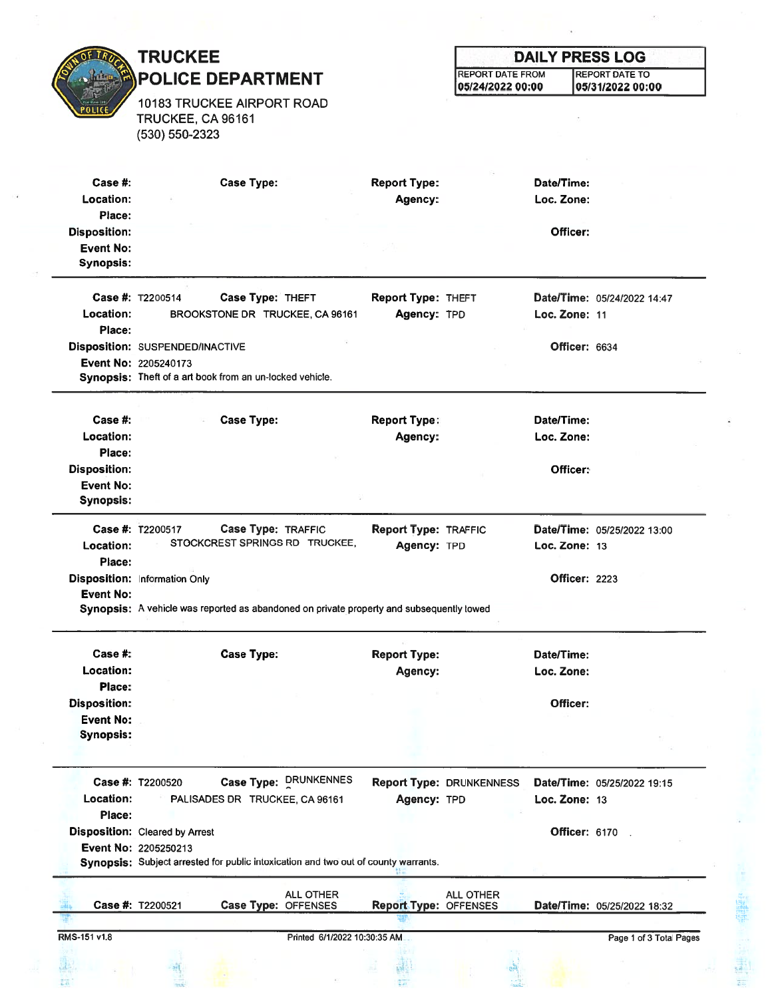OF TR **POLICE** 

## TRUCKEE POLICE DEPARTMENT

10183 TRUCKEE AIRPORT ROAD TRUCKEE, CA 96161 (530) 550-2323

## DAILY PRESS LOG REPORT DATE FROM REPORT DATE TO 05/24/2022 00:00 05/31/2022 00:00

| Case  #:<br>Location: | <b>Case Type:</b>                                                                        | <b>Report Type:</b><br>Agency: |                                 | Date/Time:<br>Loc. Zone: |                             |
|-----------------------|------------------------------------------------------------------------------------------|--------------------------------|---------------------------------|--------------------------|-----------------------------|
| Place:                |                                                                                          |                                |                                 |                          |                             |
| <b>Disposition:</b>   |                                                                                          |                                |                                 | Officer:                 |                             |
| <b>Event No:</b>      |                                                                                          |                                |                                 |                          |                             |
| <b>Synopsis:</b>      |                                                                                          |                                |                                 |                          |                             |
|                       | Case #: T2200514<br>Case Type: THEFT                                                     | <b>Report Type: THEFT</b>      |                                 |                          | Date/Time: 05/24/2022 14:47 |
| Location:             | BROOKSTONE DR TRUCKEE, CA 96161                                                          | Agency: TPD                    |                                 | Loc. Zone: 11            |                             |
| Place:                |                                                                                          |                                |                                 |                          |                             |
|                       | Disposition: SUSPENDED/INACTIVE                                                          |                                |                                 | Officer: 6634            |                             |
|                       | Event No: 2205240173                                                                     |                                |                                 |                          |                             |
|                       | Synopsis: Theft of a art book from an un-locked vehicle.                                 |                                |                                 |                          |                             |
|                       |                                                                                          |                                |                                 |                          |                             |
| Case $#$ :            | <b>Case Type:</b>                                                                        | <b>Report Type:</b>            |                                 | Date/Time:               |                             |
| Location:             |                                                                                          | Agency:                        |                                 | Loc. Zone:               |                             |
| Place:                |                                                                                          |                                |                                 |                          |                             |
| <b>Disposition:</b>   |                                                                                          |                                |                                 | Officer:                 |                             |
| <b>Event No:</b>      |                                                                                          |                                |                                 |                          |                             |
| <b>Synopsis:</b>      |                                                                                          |                                |                                 |                          |                             |
|                       | Case #: T2200517<br>Case Type: TRAFFIC                                                   | <b>Report Type: TRAFFIC</b>    |                                 |                          | Date/Time: 05/25/2022 13:00 |
| Location:             | STOCKCREST SPRINGS RD TRUCKEE,                                                           | Agency: TPD                    |                                 | Loc. Zone: 13            |                             |
| Place:                |                                                                                          |                                |                                 |                          |                             |
|                       | <b>Disposition: Information Only</b>                                                     |                                |                                 | <b>Officer: 2223</b>     |                             |
| <b>Event No:</b>      |                                                                                          |                                |                                 |                          |                             |
|                       | Synopsis: A vehicle was reported as abandoned on private property and subsequently towed |                                |                                 |                          |                             |
| Case  #:              | <b>Case Type:</b>                                                                        | <b>Report Type:</b>            |                                 | Date/Time:               |                             |
| <b>Location:</b>      |                                                                                          | Agency:                        |                                 | Loc. Zone:               |                             |
| Place:                |                                                                                          |                                |                                 |                          |                             |
| <b>Disposition:</b>   |                                                                                          |                                |                                 | Officer:                 |                             |
|                       |                                                                                          |                                |                                 |                          |                             |
|                       |                                                                                          |                                |                                 |                          |                             |
| <b>Event No:</b>      |                                                                                          |                                |                                 |                          |                             |
| <b>Synopsis:</b>      |                                                                                          |                                |                                 |                          |                             |
|                       |                                                                                          |                                |                                 |                          |                             |
|                       | Case Type: DRUNKENNES<br>Case #: T2200520                                                |                                | <b>Report Type: DRUNKENNESS</b> |                          | Date/Time: 05/25/2022 19:15 |
| Location:             | PALISADES DR TRUCKEE, CA 96161                                                           | Agency: TPD                    |                                 | Loc. Zone: 13            |                             |
| Place:                |                                                                                          |                                |                                 |                          |                             |
|                       | <b>Disposition:</b> Cleared by Arrest                                                    |                                |                                 | <b>Officer: 6170 .</b>   |                             |
|                       | Event No: 2205250213                                                                     |                                |                                 |                          |                             |
|                       | Synopsis: Subject arrested for public intoxication and two out of county warrants.       |                                |                                 |                          |                             |
|                       | <b>ALL OTHER</b>                                                                         |                                | <b>ALL OTHER</b>                |                          |                             |
|                       | Case #: T2200521<br>Case Type: OFFENSES                                                  | <b>Report Type: OFFENSES</b>   |                                 |                          | Date/Time: 05/25/2022 18:32 |
| RMS-151 v1.8          | Printed 6/1/2022 10:30:35 AM                                                             |                                |                                 |                          | Page 1 of 3 Total Pages     |

Ť.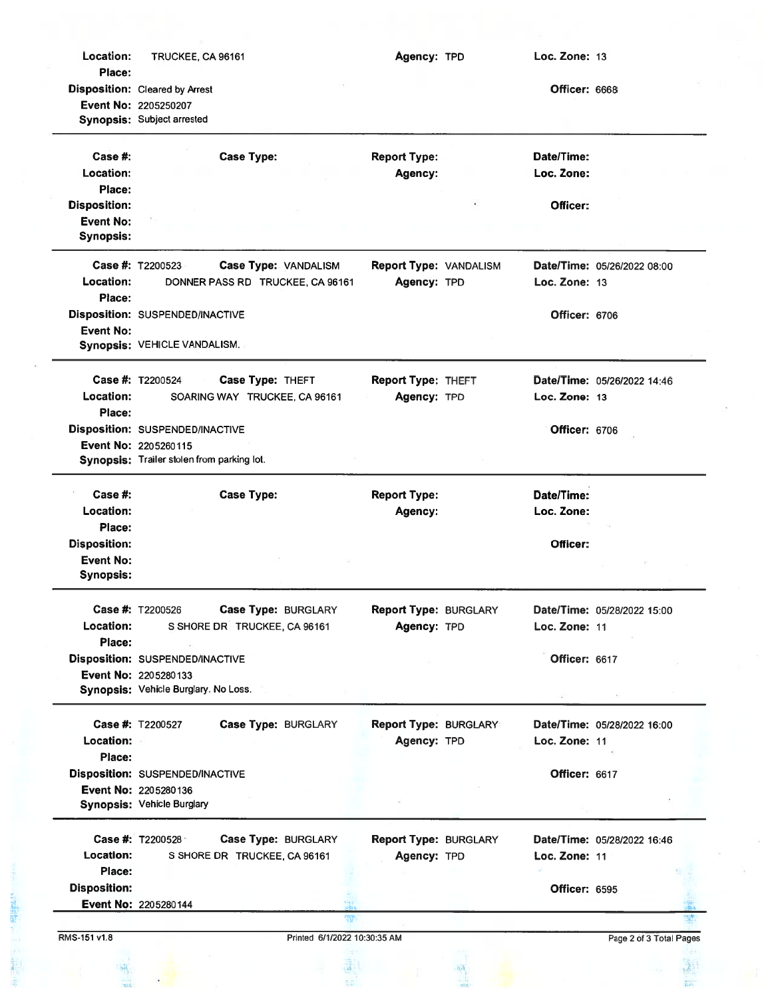| Location:           | TRUCKEE, CA 96161                          | Agency: TPD                  | Loc. Zone: 13        |                             |  |
|---------------------|--------------------------------------------|------------------------------|----------------------|-----------------------------|--|
| Place:              | <b>Disposition:</b> Cleared by Arrest      |                              | Officer: 6668        |                             |  |
|                     | Event No: 2205250207                       |                              |                      |                             |  |
|                     | Synopsis: Subject arrested                 |                              |                      |                             |  |
| Case $#$ :          | <b>Case Type:</b>                          | <b>Report Type:</b>          | Date/Time:           |                             |  |
| Location:           |                                            | Agency:                      | Loc. Zone:           |                             |  |
| Place:              |                                            |                              |                      |                             |  |
| <b>Disposition:</b> |                                            |                              | Officer:             |                             |  |
| <b>Event No:</b>    |                                            |                              |                      |                             |  |
| <b>Synopsis:</b>    |                                            |                              |                      |                             |  |
|                     | Case #: T2200523<br>Case Type: VANDALISM   | Report Type: VANDALISM       |                      | Date/Time: 05/26/2022 08:00 |  |
| Location:           | DONNER PASS RD TRUCKEE, CA 96161           | Agency: TPD                  | Loc. Zone: 13        |                             |  |
| Place:              |                                            |                              |                      |                             |  |
|                     | Disposition: SUSPENDED/INACTIVE            |                              | Officer: 6706        |                             |  |
| <b>Event No:</b>    |                                            |                              |                      |                             |  |
|                     | Synopsis: VEHICLE VANDALISM.               |                              |                      |                             |  |
|                     | Case #: T2200524<br>Case Type: THEFT       | <b>Report Type: THEFT</b>    |                      | Date/Time: 05/26/2022 14:46 |  |
| Location:           | SOARING WAY TRUCKEE, CA 96161              | Agency: TPD                  | Loc. Zone: 13        |                             |  |
| Place:              |                                            |                              |                      |                             |  |
|                     | Disposition: SUSPENDED/INACTIVE            |                              | Officer: 6706        |                             |  |
|                     | Event No: 2205260115                       |                              |                      |                             |  |
|                     | Synopsis: Trailer stolen from parking lot. |                              |                      |                             |  |
|                     |                                            |                              |                      |                             |  |
| Case #:             | <b>Case Type:</b>                          | <b>Report Type:</b>          | Date/Time:           |                             |  |
| Location:<br>Place: |                                            | Agency:                      | Loc. Zone:           |                             |  |
| <b>Disposition:</b> |                                            |                              | Officer:             |                             |  |
| <b>Event No:</b>    |                                            |                              |                      |                             |  |
| <b>Synopsis:</b>    |                                            |                              |                      |                             |  |
|                     | Case #: T2200526<br>Case Type: BURGLARY    | <b>Report Type: BURGLARY</b> |                      | Date/Time: 05/28/2022 15:00 |  |
| <b>Location:</b>    | S SHORE DR TRUCKEE, CA 96161               | Agency: TPD                  | Loc. Zone: 11        |                             |  |
| Place:              |                                            |                              |                      |                             |  |
|                     | <b>Disposition: SUSPENDED/INACTIVE</b>     |                              | Officer: 6617        |                             |  |
|                     | Event No: 2205280133                       |                              |                      |                             |  |
|                     | Synopsis: Vehicle Burglary. No Loss.       |                              |                      |                             |  |
|                     |                                            |                              |                      |                             |  |
|                     | Case #: T2200527<br>Case Type: BURGLARY    | <b>Report Type: BURGLARY</b> |                      | Date/Time: 05/28/2022 16:00 |  |
| Location:           |                                            | Agency: TPD                  | Loc. Zone: 11        |                             |  |
| Place:              | Disposition: SUSPENDED/INACTIVE            |                              | <b>Officer: 6617</b> |                             |  |
|                     | Event No: 2205280136                       |                              |                      |                             |  |
|                     | Synopsis: Vehicle Burglary                 |                              |                      |                             |  |
|                     |                                            |                              |                      |                             |  |
|                     | Case #: T2200528<br>Case Type: BURGLARY    | <b>Report Type: BURGLARY</b> |                      | Date/Time: 05/28/2022 16:46 |  |
| <b>Location:</b>    | S SHORE DR TRUCKEE, CA 96161               | Agency: TPD                  | Loc. Zone: 11        |                             |  |
| Place:              |                                            |                              |                      |                             |  |
| <b>Disposition:</b> |                                            |                              | <b>Officer: 6595</b> |                             |  |
|                     | Event No: 2205280144                       |                              |                      |                             |  |